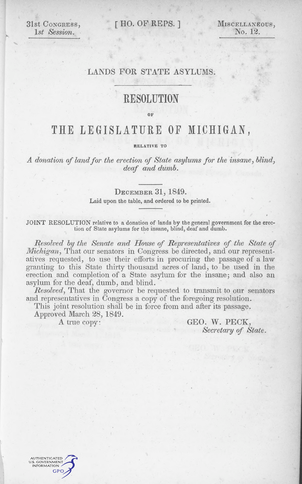31st Congress, 1st Session.

[ HO. OF REPS. ] MISCELLANEOUS,

No. 12.

## LANDS FOR STATE ASYLUMS.

## RESOLUTION

OF

## THE LEGISLATURE OF MICHIGAN,

RELATIVE TO

A donation of land for the erection of State asylums for the insane, blind, deaf and dumb.

## December 31, 1849.

Laid upon the table, and ordered to be printed.

JOINT RESOLUTION relative to a donation of lands by the general government for the erection of State asylums for the insane, blind, deaf and dumb.

Resolved by the Senate and House of Representatives of the State of Michigan, That our senators in Congress be directed, and our representatives requested, to use their efforts in procuring the passage of a law granting to this State thirty thousand acres of land, to be used in the erection and completion of a State asylum for the insane; and also an asylum for the deaf, dumb, and blind.

Resolved, That the governor be requested to transmit to our senators and representatives in Congress a copy of the foregoing resolution.

This joint resolution shall be in force from and after its passage.

Approved March 28, 1849.

A true copy: GEO. W. PECK, Secretary of State.

NUTHENTICATED **U.S. GOVERNMENT** FORMATION GPO